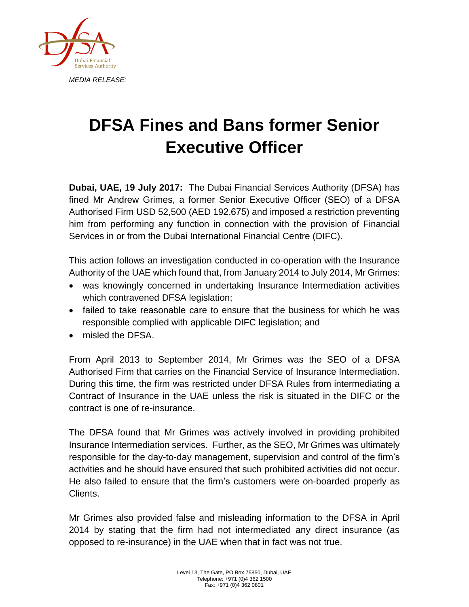

## **DFSA Fines and Bans former Senior Executive Officer**

**Dubai, UAE,** 1**9 July 2017:** The Dubai Financial Services Authority (DFSA) has fined Mr Andrew Grimes, a former Senior Executive Officer (SEO) of a DFSA Authorised Firm USD 52,500 (AED 192,675) and imposed a restriction preventing him from performing any function in connection with the provision of Financial Services in or from the Dubai International Financial Centre (DIFC).

This action follows an investigation conducted in co-operation with the Insurance Authority of the UAE which found that, from January 2014 to July 2014, Mr Grimes:

- was knowingly concerned in undertaking Insurance Intermediation activities which contravened DFSA legislation;
- failed to take reasonable care to ensure that the business for which he was responsible complied with applicable DIFC legislation; and
- misled the DFSA.

From April 2013 to September 2014, Mr Grimes was the SEO of a DFSA Authorised Firm that carries on the Financial Service of Insurance Intermediation. During this time, the firm was restricted under DFSA Rules from intermediating a Contract of Insurance in the UAE unless the risk is situated in the DIFC or the contract is one of re-insurance.

The DFSA found that Mr Grimes was actively involved in providing prohibited Insurance Intermediation services. Further, as the SEO, Mr Grimes was ultimately responsible for the day-to-day management, supervision and control of the firm's activities and he should have ensured that such prohibited activities did not occur. He also failed to ensure that the firm's customers were on-boarded properly as Clients.

Mr Grimes also provided false and misleading information to the DFSA in April 2014 by stating that the firm had not intermediated any direct insurance (as opposed to re-insurance) in the UAE when that in fact was not true.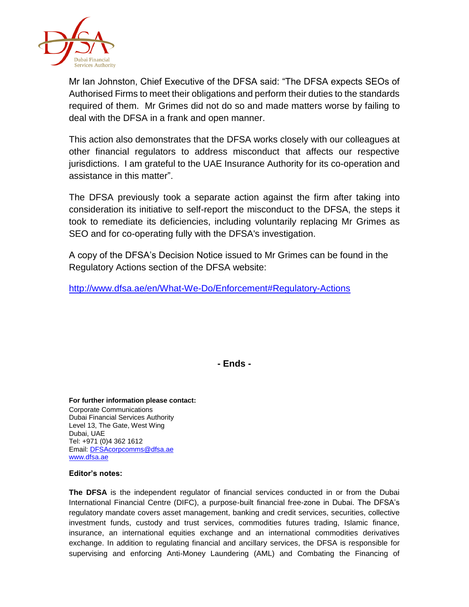

Mr Ian Johnston, Chief Executive of the DFSA said: "The DFSA expects SEOs of Authorised Firms to meet their obligations and perform their duties to the standards required of them. Mr Grimes did not do so and made matters worse by failing to deal with the DFSA in a frank and open manner.

This action also demonstrates that the DFSA works closely with our colleagues at other financial regulators to address misconduct that affects our respective jurisdictions. I am grateful to the UAE Insurance Authority for its co-operation and assistance in this matter".

The DFSA previously took a separate action against the firm after taking into consideration its initiative to self-report the misconduct to the DFSA, the steps it took to remediate its deficiencies, including voluntarily replacing Mr Grimes as SEO and for co-operating fully with the DFSA's investigation.

A copy of the DFSA's Decision Notice issued to Mr Grimes can be found in the Regulatory Actions section of the DFSA website:

<http://www.dfsa.ae/en/What-We-Do/Enforcement#Regulatory-Actions>

**- Ends -**

**For further information please contact:** Corporate Communications Dubai Financial Services Authority Level 13, The Gate, West Wing Dubai, UAE Tel: +971 (0)4 362 1612 Email[: DFSAcorpcomms@dfsa.ae](mailto:DFSAcorpcomms@dfsa.ae) [www.dfsa.ae](http://www.dfsa.ae/)

## **Editor's notes:**

**The DFSA** is the independent regulator of financial services conducted in or from the Dubai International Financial Centre (DIFC), a purpose-built financial free-zone in Dubai. The DFSA's regulatory mandate covers asset management, banking and credit services, securities, collective investment funds, custody and trust services, commodities futures trading, Islamic finance, insurance, an international equities exchange and an international commodities derivatives exchange. In addition to regulating financial and ancillary services, the DFSA is responsible for supervising and enforcing Anti-Money Laundering (AML) and Combating the Financing of